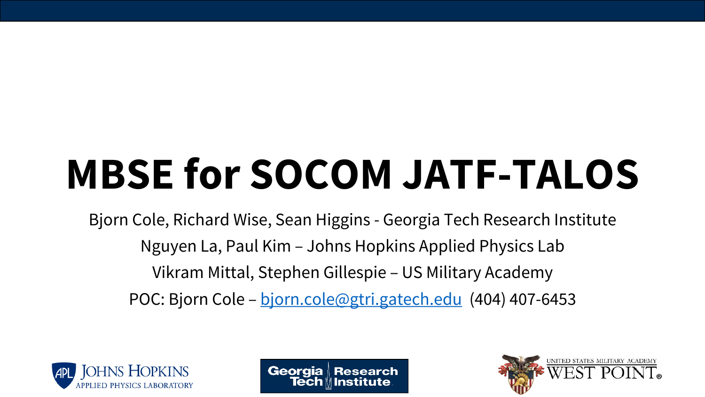# **MBSE for SOCOM JATF-TALOS**

Bjorn Cole, Richard Wise, Sean Higgins - Georgia Tech Research Institute Nguyen La, Paul Kim – Johns Hopkins Applied Physics Lab Vikram Mittal, Stephen Gillespie – US Military Academy POC: Bjorn Cole – [bjorn.cole@gtri.gatech.edu](mailto:bjorn.cole@gtri.gatech.edu) (404) 407-6453





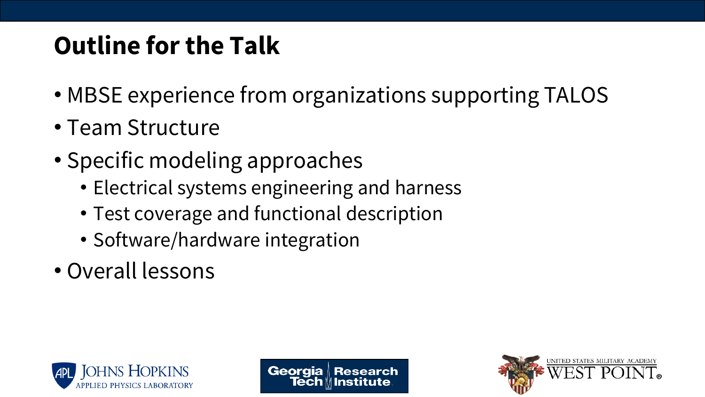# **Outline for the Talk**

- MBSE experience from organizations supporting TALOS
- Team Structure
- Specific modeling approaches
	- Electrical systems engineering and harness
	- Test coverage and functional description
	- Software/hardware integration
- Overall lessons





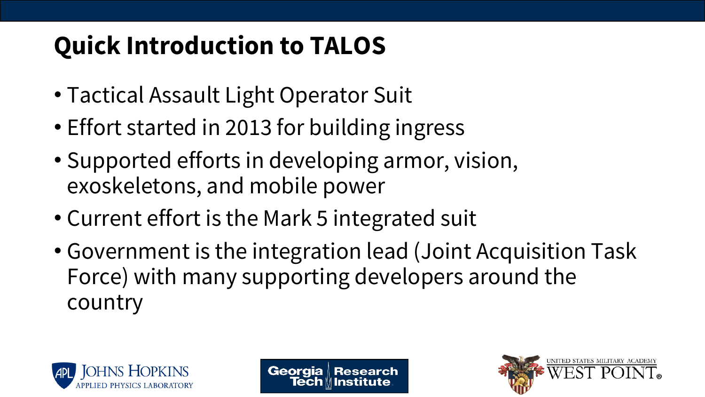# **Quick Introduction to TALOS**

- Tactical Assault Light Operator Suit
- Effort started in 2013 for building ingress
- Supported efforts in developing armor, vision, exoskeletons, and mobile power
- Current effort is the Mark 5 integrated suit
- Government is the integration lead (Joint Acquisition Task Force) with many supporting developers around the country





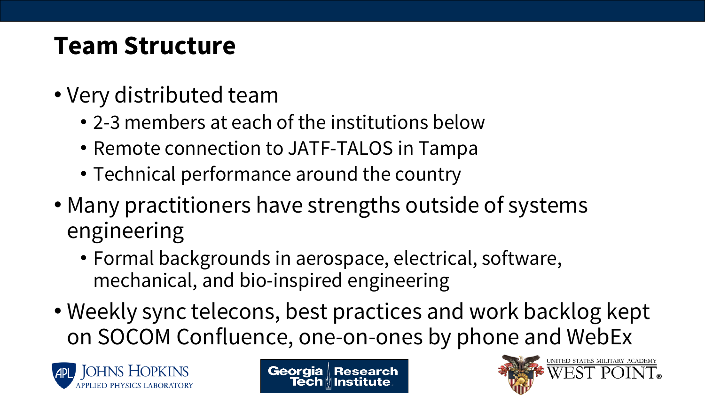## **Team Structure**

- Very distributed team
	- 2-3 members at each of the institutions below
	- Remote connection to JATF-TALOS in Tampa
	- Technical performance around the country
- Many practitioners have strengths outside of systems engineering
	- Formal backgrounds in aerospace, electrical, software, mechanical, and bio-inspired engineering
- Weekly sync telecons, best practices and work backlog kept on SOCOM Confluence, one-on-ones by phone and WebEx





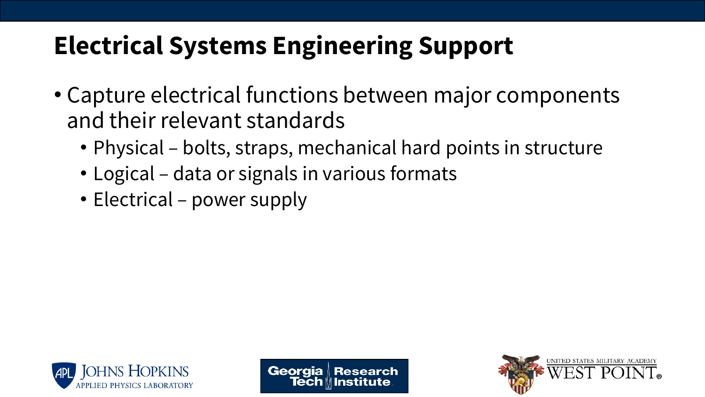- Capture electrical functions between major components and their relevant standards
	- Physical bolts, straps, mechanical hard points in structure
	- Logical data or signals in various formats
	- Electrical power supply





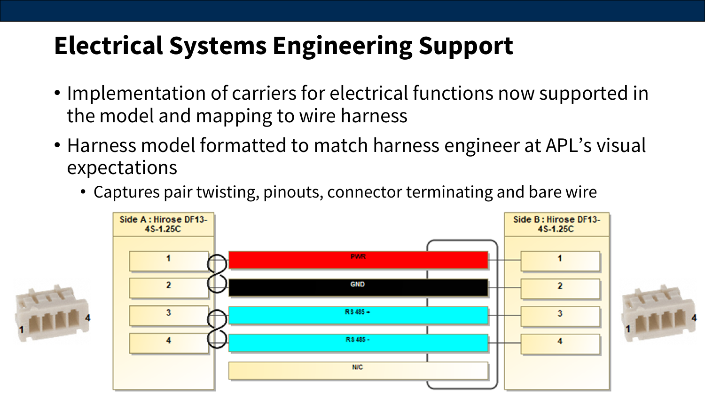- Implementation of carriers for electrical functions now supported in the model and mapping to wire harness
- Harness model formatted to match harness engineer at APL's visual expectations
	- Captures pair twisting, pinouts, connector terminating and bare wire

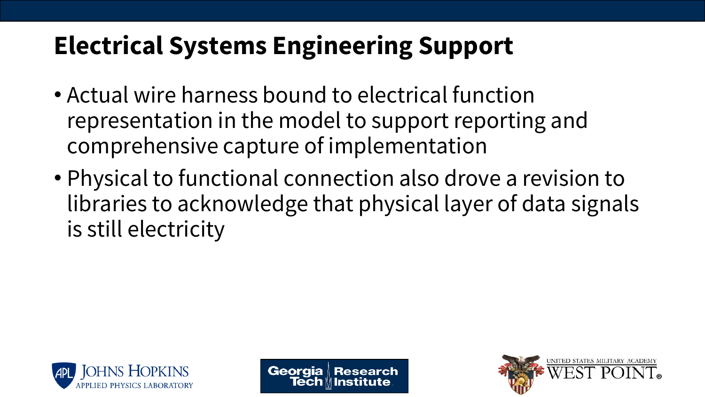- Actual wire harness bound to electrical function representation in the model to support reporting and comprehensive capture of implementation
- Physical to functional connection also drove a revision to libraries to acknowledge that physical layer of data signals is still electricity





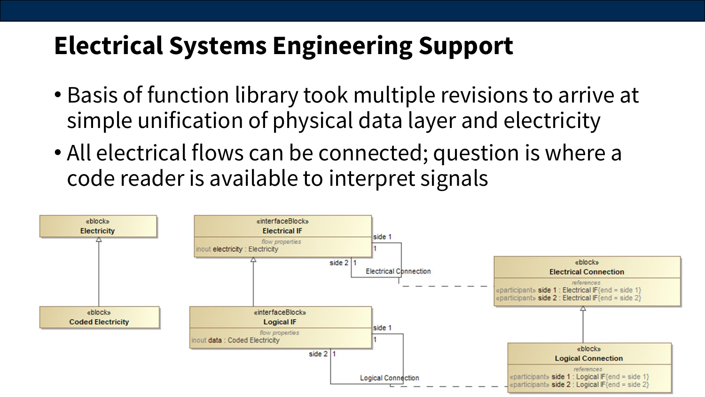- Basis of function library took multiple revisions to arrive at simple unification of physical data layer and electricity
- All electrical flows can be connected; question is where a code reader is available to interpret signals

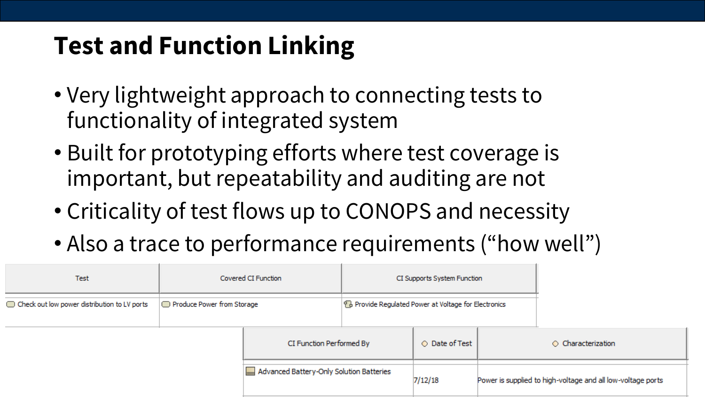# **Test and Function Linking**

- Very lightweight approach to connecting tests to functionality of integrated system
- Built for prototyping efforts where test coverage is important, but repeatability and auditing are not
- Criticality of test flows up to CONOPS and necessity
- Also a trace to performance requirements ("how well")

| <b>Test</b>                                  | Covered CI Function        |                                          | CI Supports System Function                           |                |                          |                                                             |
|----------------------------------------------|----------------------------|------------------------------------------|-------------------------------------------------------|----------------|--------------------------|-------------------------------------------------------------|
| Check out low power distribution to LV ports | Produce Power from Storage |                                          | PB Provide Regulated Power at Voltage for Electronics |                |                          |                                                             |
|                                              |                            | CI Function Performed By                 |                                                       | ○ Date of Test | $\circ$ Characterization |                                                             |
|                                              |                            | Advanced Battery-Only Solution Batteries |                                                       | 7/12/18        |                          | Power is supplied to high-voltage and all low-voltage ports |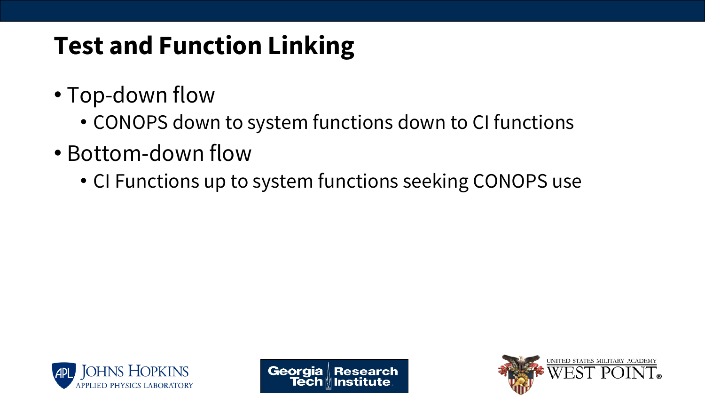# **Test and Function Linking**

- Top-down flow
	- CONOPS down to system functions down to CI functions
- Bottom-down flow
	- CI Functions up to system functions seeking CONOPS use





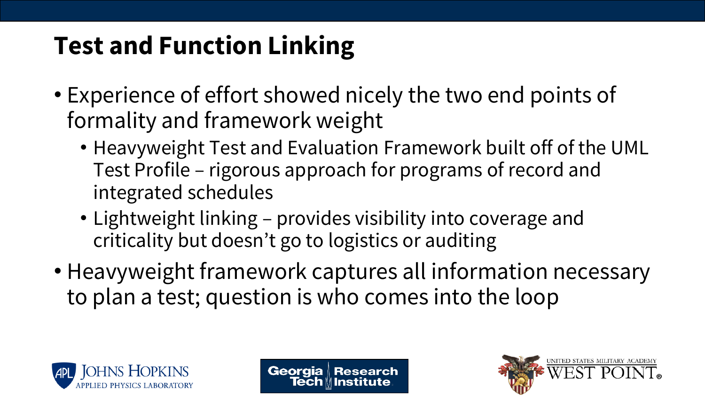# **Test and Function Linking**

- Experience of effort showed nicely the two end points of formality and framework weight
	- Heavyweight Test and Evaluation Framework built off of the UML Test Profile – rigorous approach for programs of record and integrated schedules
	- Lightweight linking provides visibility into coverage and criticality but doesn't go to logistics or auditing
- Heavyweight framework captures all information necessary to plan a test; question is who comes into the loop





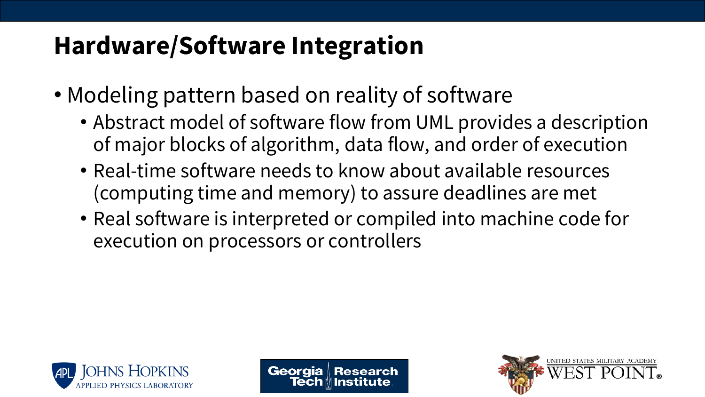- Modeling pattern based on reality of software
	- Abstract model of software flow from UML provides a description of major blocks of algorithm, data flow, and order of execution
	- Real-time software needs to know about available resources (computing time and memory) to assure deadlines are met
	- Real software is interpreted or compiled into machine code for execution on processors or controllers





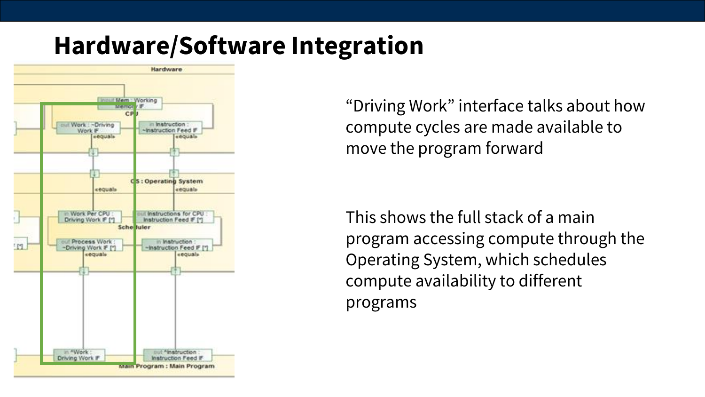

"Driving Work" interface talks about how compute cycles are made available to move the program forward

This shows the full stack of a main program accessing compute through the Operating System, which schedules compute availability to different programs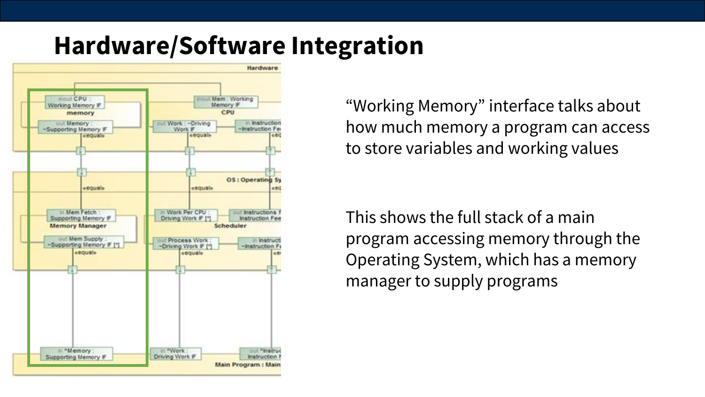

"Working Memory" interface talks about how much memory a program can access to store variables and working values

This shows the full stack of a main program accessing memory through the Operating System, which has a memory manager to supply programs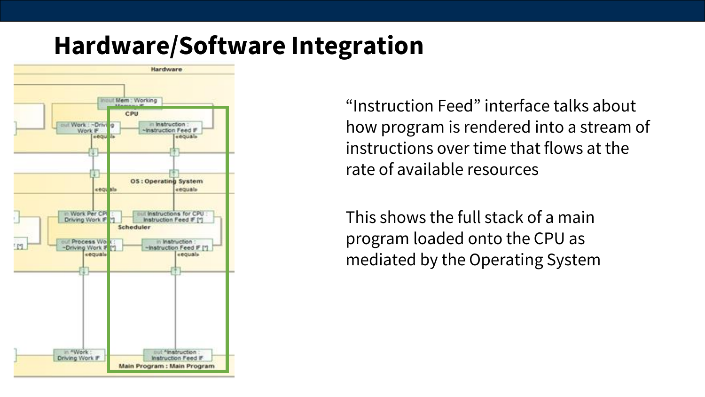

"Instruction Feed" interface talks about how program is rendered into a stream of instructions over time that flows at the rate of available resources

This shows the full stack of a main program loaded onto the CPU as mediated by the Operating System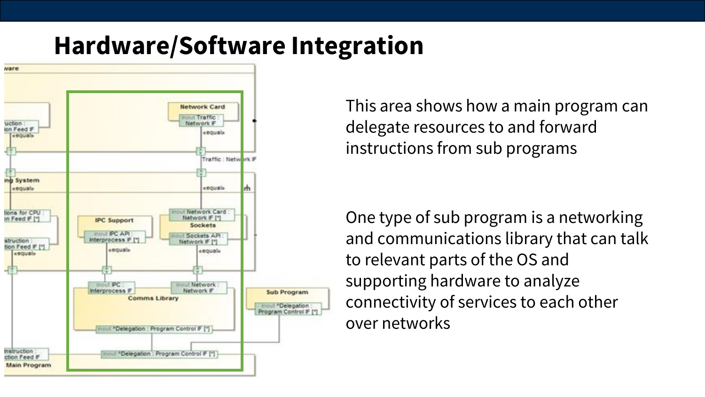

This area shows how a main program can delegate resources to and forward instructions from sub programs

One type of sub program is a networking and communications library that can talk to relevant parts of the OS and supporting hardware to analyze connectivity of services to each other over networks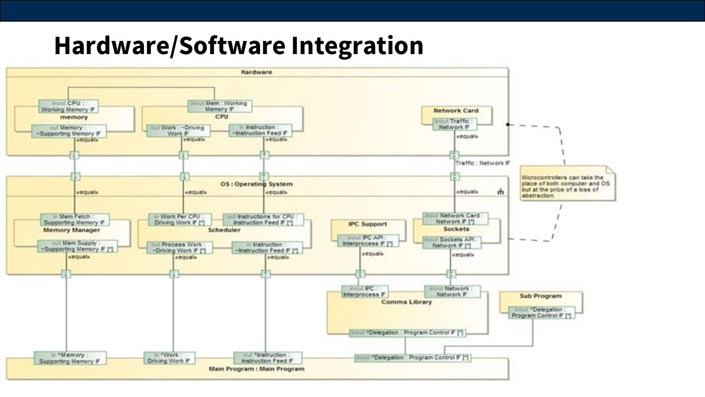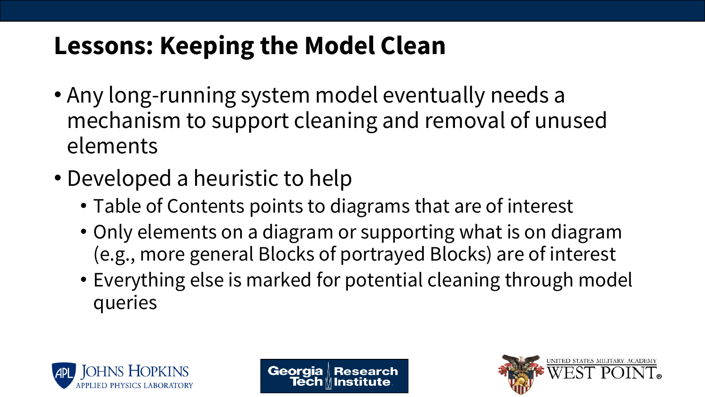## **Lessons: Keeping the Model Clean**

- Any long-running system model eventually needs a mechanism to support cleaning and removal of unused elements
- Developed a heuristic to help
	- Table of Contents points to diagrams that are of interest
	- Only elements on a diagram or supporting what is on diagram (e.g., more general Blocks of portrayed Blocks) are of interest
	- Everything else is marked for potential cleaning through model queries





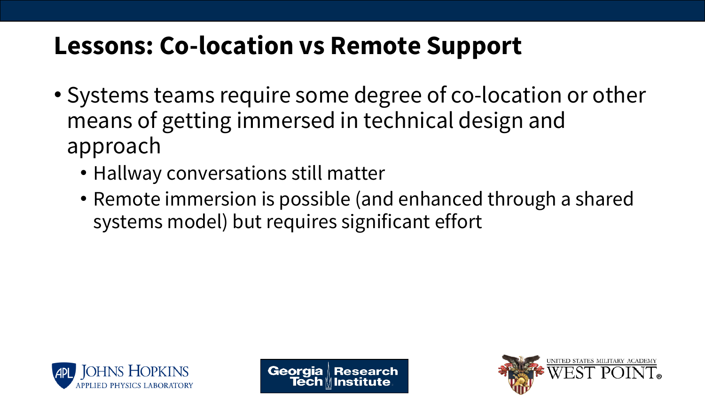### **Lessons: Co-location vs Remote Support**

- Systems teams require some degree of co-location or other means of getting immersed in technical design and approach
	- Hallway conversations still matter
	- Remote immersion is possible (and enhanced through a shared systems model) but requires significant effort





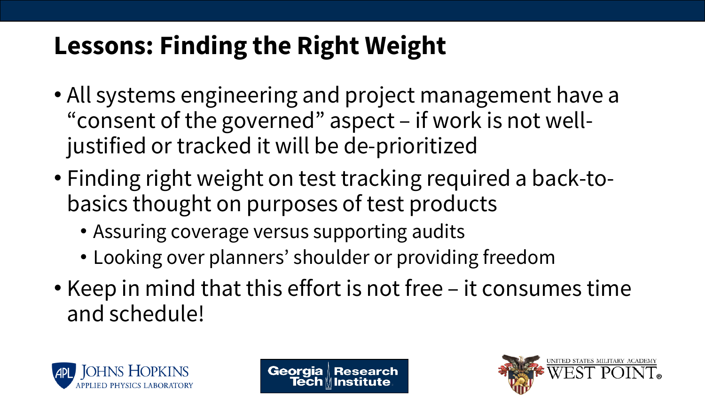# **Lessons: Finding the Right Weight**

- All systems engineering and project management have a "consent of the governed" aspect – if work is not welljustified or tracked it will be de-prioritized
- Finding right weight on test tracking required a back-tobasics thought on purposes of test products
	- Assuring coverage versus supporting audits
	- Looking over planners' shoulder or providing freedom
- Keep in mind that this effort is not free it consumes time and schedule!





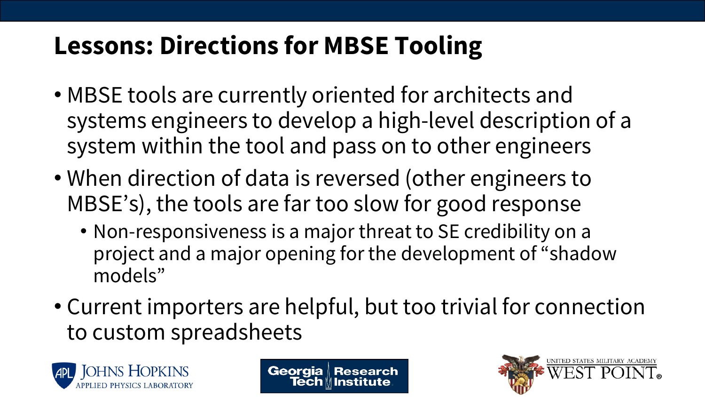# **Lessons: Directions for MBSE Tooling**

- MBSE tools are currently oriented for architects and systems engineers to develop a high-level description of a system within the tool and pass on to other engineers
- When direction of data is reversed (other engineers to MBSE's), the tools are far too slow for good response
	- Non-responsiveness is a major threat to SE credibility on a project and a major opening for the development of "shadow models"
- Current importers are helpful, but too trivial for connection to custom spreadsheets